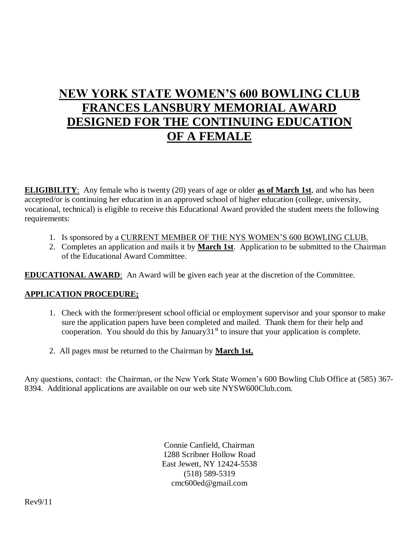# **NEW YORK STATE WOMEN'S 600 BOWLING CLUB FRANCES LANSBURY MEMORIAL AWARD DESIGNED FOR THE CONTINUING EDUCATION OF A FEMALE**

**ELIGIBILITY**: Any female who is twenty (20) years of age or older **as of March 1st**, and who has been accepted/or is continuing her education in an approved school of higher education (college, university, vocational, technical) is eligible to receive this Educational Award provided the student meets the following requirements:

- 1. Is sponsored by a CURRENT MEMBER OF THE NYS WOMEN'S 600 BOWLING CLUB.
- 2. Completes an application and mails it by **March 1st**. Application to be submitted to the Chairman of the Educational Award Committee.

**EDUCATIONAL AWARD**: An Award will be given each year at the discretion of the Committee.

### **APPLICATION PROCEDURE;**

- 1. Check with the former/present school official or employment supervisor and your sponsor to make sure the application papers have been completed and mailed. Thank them for their help and cooperation. You should do this by January  $31<sup>st</sup>$  to insure that your application is complete.
- 2. All pages must be returned to the Chairman by **March 1st.**

Any questions, contact: the Chairman, or the New York State Women's 600 Bowling Club Office at (585) 367- 8394. Additional applications are available on our web site NYSW600Club.com.

> Connie Canfield, Chairman 1288 Scribner Hollow Road East Jewett, NY 12424-5538 (518) 589-5319 cmc600ed@gmail.com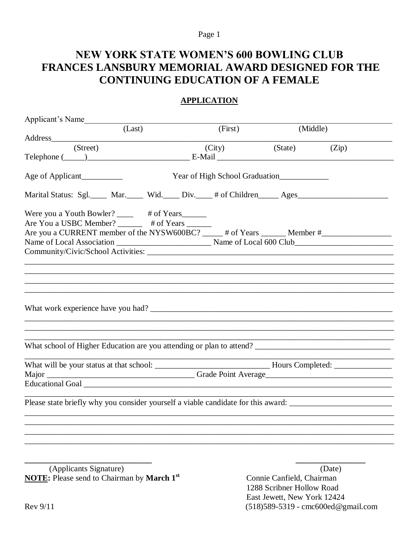#### Page 1

# **NEW YORK STATE WOMEN'S 600 BOWLING CLUB** FRANCES LANSBURY MEMORIAL AWARD DESIGNED FOR THE **CONTINUING EDUCATION OF A FEMALE**

### **APPLICATION**

| Applicant's Name                                                                                               |                                |          |                                                                            |
|----------------------------------------------------------------------------------------------------------------|--------------------------------|----------|----------------------------------------------------------------------------|
| (Last)                                                                                                         | (First)                        | (Middle) |                                                                            |
|                                                                                                                |                                |          |                                                                            |
| (Street)                                                                                                       | (City)                         | (State)  | (Zip)                                                                      |
|                                                                                                                |                                |          |                                                                            |
|                                                                                                                |                                |          |                                                                            |
| Age of Applicant                                                                                               | Year of High School Graduation |          |                                                                            |
|                                                                                                                |                                |          |                                                                            |
| Marital Status: Sgl. ____ Mar. ____ Wid. ____ Div. ____ # of Children _____ Ages __________________            |                                |          |                                                                            |
|                                                                                                                |                                |          |                                                                            |
| Were you a Youth Bowler? ______ # of Years_______<br>Are You a USBC Member? ______ # of Years ______           |                                |          |                                                                            |
|                                                                                                                |                                |          |                                                                            |
| Are you a CURRENT member of the NYSW600BC? _____ # of Years ______ Member #___________________________________ |                                |          |                                                                            |
|                                                                                                                |                                |          |                                                                            |
|                                                                                                                |                                |          |                                                                            |
|                                                                                                                |                                |          |                                                                            |
|                                                                                                                |                                |          |                                                                            |
|                                                                                                                |                                |          |                                                                            |
|                                                                                                                |                                |          |                                                                            |
|                                                                                                                |                                |          |                                                                            |
|                                                                                                                |                                |          |                                                                            |
|                                                                                                                |                                |          |                                                                            |
|                                                                                                                |                                |          |                                                                            |
|                                                                                                                |                                |          |                                                                            |
|                                                                                                                |                                |          |                                                                            |
|                                                                                                                |                                |          |                                                                            |
|                                                                                                                |                                |          |                                                                            |
|                                                                                                                |                                |          |                                                                            |
|                                                                                                                |                                |          |                                                                            |
|                                                                                                                |                                |          |                                                                            |
|                                                                                                                |                                |          |                                                                            |
|                                                                                                                |                                |          |                                                                            |
|                                                                                                                |                                |          | the control of the control of the control of the control of the control of |
| Please state briefly why you consider yourself a viable candidate for this award:                              |                                |          |                                                                            |
|                                                                                                                |                                |          |                                                                            |
|                                                                                                                |                                |          |                                                                            |
|                                                                                                                |                                |          |                                                                            |
|                                                                                                                |                                |          |                                                                            |
|                                                                                                                |                                |          |                                                                            |
|                                                                                                                |                                |          |                                                                            |
| $\mathbf{v}$ and $\mathbf{v}$ and $\mathbf{v}$ and $\mathbf{v}$                                                |                                |          |                                                                            |
|                                                                                                                |                                |          |                                                                            |

(Applicants Signature) **NOTE:** Please send to Chairman by March 1<sup>st</sup>

(Date) Connie Canfield, Chairman 1288 Scribner Hollow Road East Jewett, New York 12424 (518) 589-5319 - cmc600ed@gmail.com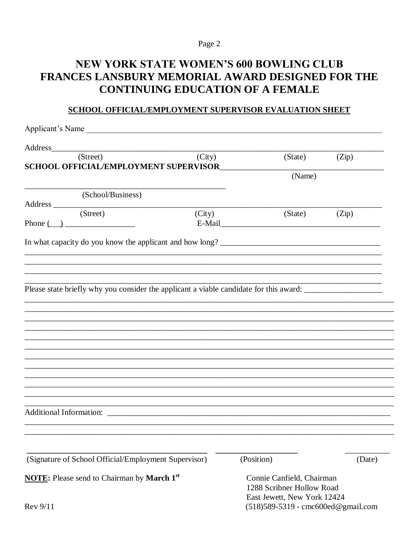### Page 2

# **NEW YORK STATE WOMEN'S 600 BOWLING CLUB** FRANCES LANSBURY MEMORIAL AWARD DESIGNED FOR THE **CONTINUING EDUCATION OF A FEMALE**

### SCHOOL OFFICIAL/EMPLOYMENT SUPERVISOR EVALUATION SHEET

| Applicant's Name                                                                       |                             |                                     |  |  |
|----------------------------------------------------------------------------------------|-----------------------------|-------------------------------------|--|--|
|                                                                                        |                             |                                     |  |  |
| (Street)<br>(City)                                                                     | (State)                     | (Zip)                               |  |  |
| <b>SCHOOL OFFICIAL/EMPLOYMENT SUPERVISOR</b>                                           | (Name)                      |                                     |  |  |
|                                                                                        |                             |                                     |  |  |
| (School/Business)                                                                      |                             |                                     |  |  |
| Address (Street)                                                                       |                             |                                     |  |  |
| (City)<br>Phone $\qquad \qquad$                                                        | (State)                     | (Zip)                               |  |  |
|                                                                                        |                             |                                     |  |  |
|                                                                                        |                             |                                     |  |  |
|                                                                                        |                             |                                     |  |  |
|                                                                                        |                             |                                     |  |  |
|                                                                                        |                             |                                     |  |  |
| Please state briefly why you consider the applicant a viable candidate for this award: |                             |                                     |  |  |
|                                                                                        |                             |                                     |  |  |
|                                                                                        |                             |                                     |  |  |
|                                                                                        |                             |                                     |  |  |
|                                                                                        |                             |                                     |  |  |
|                                                                                        |                             |                                     |  |  |
|                                                                                        |                             |                                     |  |  |
|                                                                                        |                             |                                     |  |  |
|                                                                                        |                             |                                     |  |  |
|                                                                                        |                             |                                     |  |  |
|                                                                                        |                             |                                     |  |  |
|                                                                                        |                             |                                     |  |  |
|                                                                                        |                             |                                     |  |  |
|                                                                                        |                             |                                     |  |  |
|                                                                                        |                             |                                     |  |  |
|                                                                                        |                             |                                     |  |  |
| (Signature of School Official/Employment Supervisor)                                   | (Position)                  | (Date)                              |  |  |
| <b>NOTE:</b> Please send to Chairman by March 1st                                      | Connie Canfield, Chairman   |                                     |  |  |
|                                                                                        | 1288 Scribner Hollow Road   |                                     |  |  |
|                                                                                        | East Jewett, New York 12424 |                                     |  |  |
| Rev 9/11                                                                               |                             | (518) 589-5319 - cmc600ed@gmail.com |  |  |